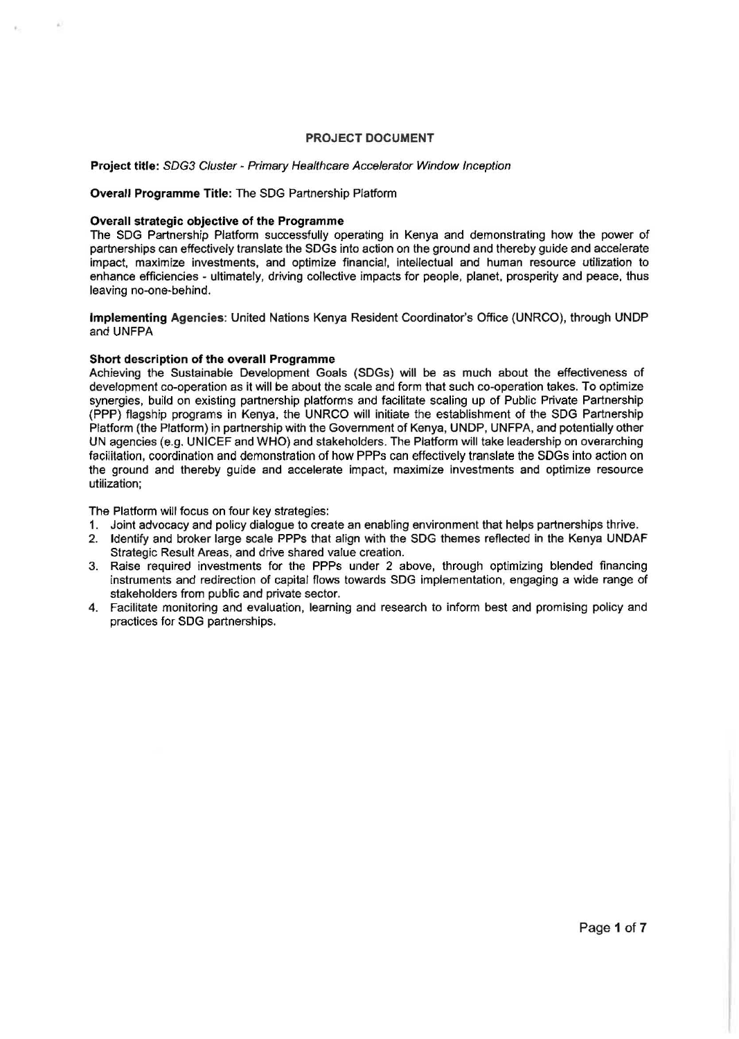## PROJECT DOCUMENT

## Project title: SDG3 Cluster- Primary Healthcare Accelerator Window Inception

#### Overall Programme Title: The SDG Partnership Platform

## Overall strategic objective of the Programme

The SDG Partnership Platform successfully operating in Kenya and demonstrating how the power of partnerships can effectively translate the SDGs into action on the ground and thereby guide and accelerate impact. maximize investments, and optimize financial, intellectual and human resource utilization to enhance efficiencies - ultimately, driving collective impacts for people, planet, prosperity and peace, thus leaving no-one-behind.

Implementing Agencies: United Nations Kenya Resident Coordinator's Office (UNRCO), through UNDP and UNFPA

## Short description of the overall Programme

Achieving the Sustainable Development Goals (SDGs) will be as much about the effectiveness of development co-operation as it will be about the scale and form that such co-operation takes. To optimize synergies, build on existing partnership platforms and facilitate scaling up of Public Private Partnership (PPP) flagship programs in Kenya, the UNRCO will initiate the establishment of the SDG Partnership Platform (the Platform) in partnership with the Government of Kenya, UNDP, UNFPA, and potentially other UN agencies (e.g. UNICEF and WHO) and stakeholders. The Platform will take leadership on overarching facilitation, coordination and demonstration of how PPPs can effectively translate the SDGs into action on the ground and thereby guide and accelerate impact, maximize investments and optimize resource utilization;

The Platform will focus on four key strategies:

- 1. Joint advocacy and policy dialogue to create an enabling environment that helps partnerships thrive.
- 2. Identify and broker large scale PPPs that align with the SDG themes reflected in the Kenya UNDAF Strategic Result Areas, and drive shared value creation.
- 3. Raise required investments for the PPPs under 2 above, through optimizing blended financing instruments and redirection of capital flows towards SDG implementation, engaging a wide range of stakeholders from public and private sector.
- 4. Facilitate monitoring and evaluation, learning and research to inform best and promising policy and practices for SDG partnerships.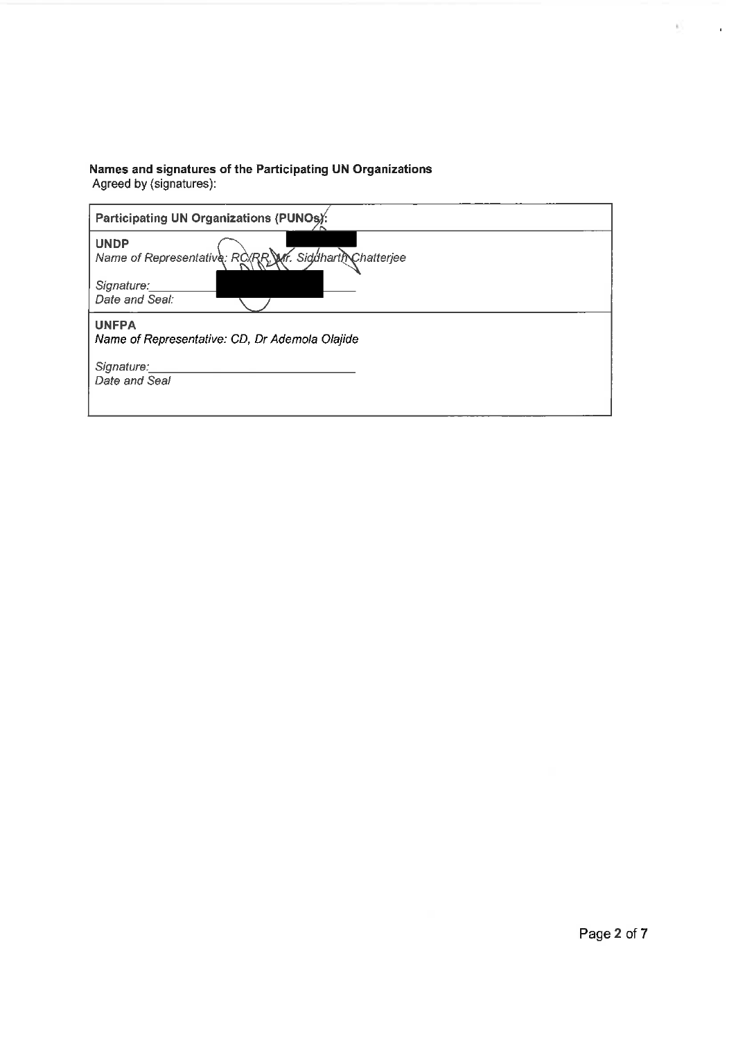# Names and signatures of the Participating UN Organizations<br>Agreed by (signatures):

| Participating UN Organizations (PUNOs):                                                                |
|--------------------------------------------------------------------------------------------------------|
| <b>UNDP</b><br>Name of Representative: RO/RR, Mr. Siddharth Chatterjee<br>Signature:<br>Date and Seal: |
| <b>UNFPA</b><br>Name of Representative: CD, Dr Ademola Olajide                                         |
| Signature:<br>Date and Seal                                                                            |
|                                                                                                        |

a C

 $\mathcal{A}^{\mathcal{A}}$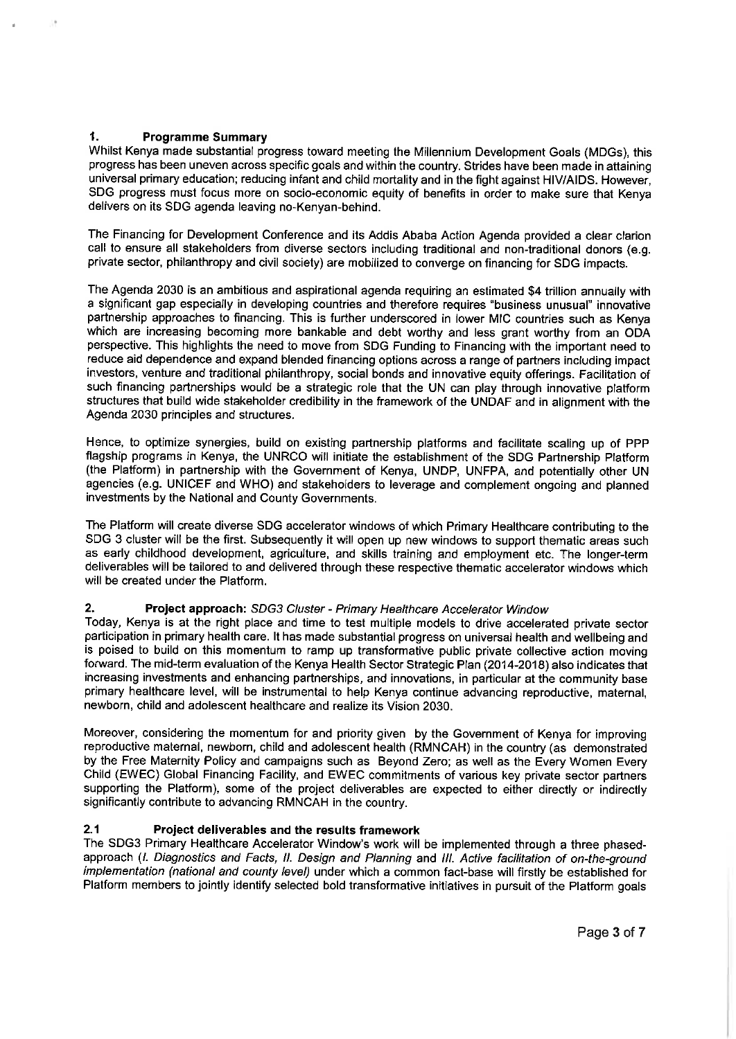#### $\mathbf{1}$ **Programme Summary**

Whilst Kenya made substantial progress toward meeting the Millennium Development Goals (MDGs), this progress has been uneven across specific goals and within the country. Strides have been made in attaining universal primary education; reducing infant and child mortality and in the fight against HIV/AIDS. However, SDG progress must focus more on socio-economic equity of benefits in order to make sure that Kenya delivers on its SDG agenda leaving no-Kenyan-behind.

The Financing for Development Conference and its Addis Ababa Action Agenda provided a clear clarion call to ensure all stakeholders from diverse sectors including traditional and non-traditional donors (e.g. private sector, philanthropy and civil society) are mobilized to converge on financing for SDG impacts.

The Agenda 2030 is an ambitious and aspirational agenda requiring an estimated \$4 trillion annually with a significant gap especially in developing countries and therefore requires "business unusual" innovative partnership approaches to financing. This is further underscored in lower MIC countries such as Kenya which are increasing becoming more bankable and debt worthy and less grant worthy from an ODA perspective. This highlights the need to move from SDG Funding to Financing with the important need to reduce aid dependence and expand blended financing options across a range of partners including impact investors, venture and traditional philanthropy, social bonds and innovative equity offerings. Facilitation of such financing partnerships would be a strategic role that the UN can play through innovative platform structures that build wide stakeholder credibility in the framework of the UNDAF and in alignment with the Agenda 2030 principles and structures.

Hence, to optimize synergies, build on existing partnership platforms and facilitate scaling up of PPP flagship programs in Kenya, the UNRCO will initiate the establishment of the SDG Partnership Platform (the Platform) in partnership with the Government of Kenya, UNDP, UNFPA, and potentially other UN agencies (e.g. UNICEF and WHO) and stakeholders to leverage and complement ongoing and planned investments by the National and County Governments.

The Platform will create diverse SDG accelerator windows of which Primary Healthcare contributing to the SDG 3 cluster will be the first. Subsequently it will open up new windows to support thematic areas such as early childhood development, agriculture, and skills training and employment etc. The longer-term deliverables will be tailored to and delivered through these respective thematic accelerator windows which will be created under the Platform.

#### $2.$ Project approach: SDG3 Cluster - Primary Healthcare Accelerator Window

Today, Kenya is at the right place and time to test multiple models to drive accelerated private sector participation in primary health care. It has made substantial progress on universal health and wellbeing and is poised to build on this momentum to ramp up transformative public private collective action moving forward. The mid-term evaluation of the Kenya Health Sector Strategic Plan (2014-2018) also indicates that increasing investments and enhancing partnerships, and innovations, in particular at the community base primary healthcare level, will be instrumental to help Kenya continue advancing reproductive, maternal, newborn, child and adolescent healthcare and realize its Vision 2030.

Moreover, considering the momentum for and priority given by the Government of Kenya for improving reproductive maternal, newborn, child and adolescent health (RMNCAH) in the country (as demonstrated by the Free Maternity Policy and campaigns such as Beyond Zero; as well as the Every Women Every Child (EWEC) Global Financing Facility, and EWEC commitments of various key private sector partners supporting the Platform), some of the project deliverables are expected to either directly or indirectly significantly contribute to advancing RMNCAH in the country.

#### Project deliverables and the results framework  $2.1$

The SDG3 Primary Healthcare Accelerator Window's work will be implemented through a three phasedapproach (I. Diagnostics and Facts, II. Design and Planning and III. Active facilitation of on-the-ground implementation (national and county level) under which a common fact-base will firstly be established for Platform members to jointly identify selected bold transformative initiatives in pursuit of the Platform goals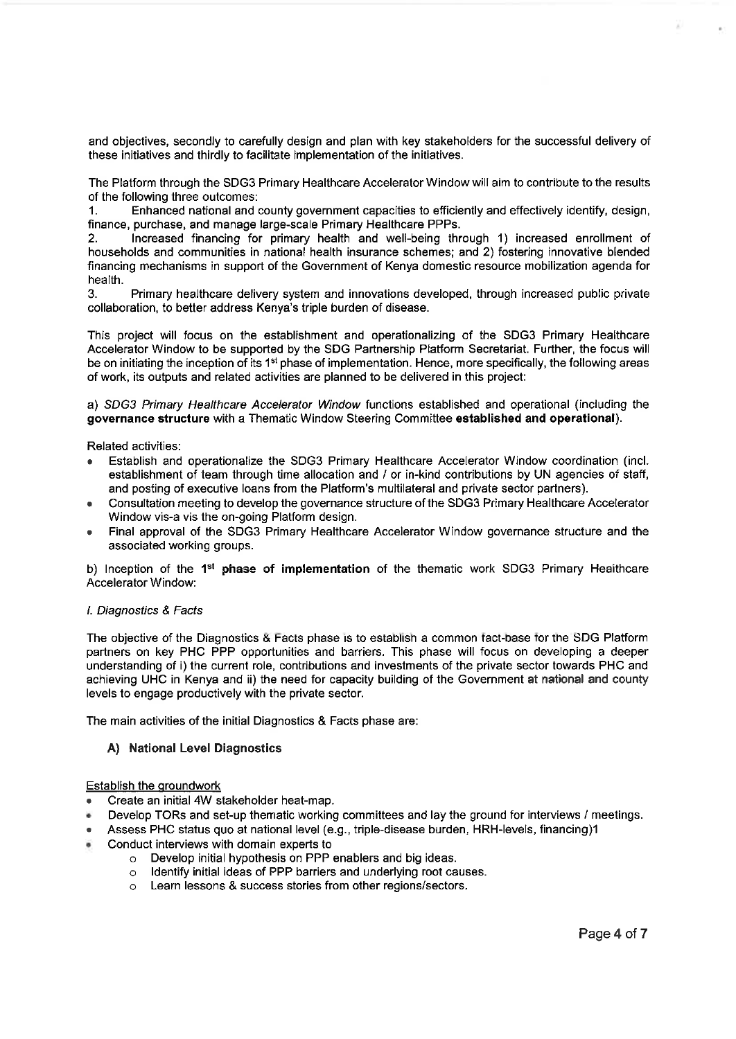and objectives, secondly to carefully design and plan with key stakeholders for the successful delivery of these initiatives and thirdly to facilitate implementation of the initiatives.

The Platform through the SDG3 Primary Healthcare Accelerator Window will aim to contribute to the results of the following three outcomes:

Enhanced national and county government capacities to efficiently and effectively identify, design,  $1<sup>1</sup>$ finance, purchase, and manage large-scale Primary Healthcare PPPs.

Increased financing for primary health and well-being through 1) increased enrollment of  $2<sub>1</sub>$ households and communities in national health insurance schemes; and 2) fostering innovative blended financing mechanisms in support of the Government of Kenya domestic resource mobilization agenda for health.

3. Primary healthcare delivery system and innovations developed, through increased public private collaboration, to better address Kenya's triple burden of disease.

This project will focus on the establishment and operationalizing of the SDG3 Primary Healthcare Accelerator Window to be supported by the SDG Partnership Platform Secretariat. Further, the focus will be on initiating the inception of its 1<sup>st</sup> phase of implementation. Hence, more specifically, the following areas of work, its outputs and related activities are planned to be delivered in this project:

a) SDG3 Primary Healthcare Accelerator Window functions established and operational (including the governance structure with a Thematic Window Steering Committee established and operational).

Related activities:

- Establish and operationalize the SDG3 Primary Healthcare Accelerator Window coordination (incl. establishment of team through time allocation and / or in-kind contributions by UN agencies of staff. and posting of executive loans from the Platform's multilateral and private sector partners).
- Consultation meeting to develop the governance structure of the SDG3 Primary Healthcare Accelerator Window vis-a vis the on-going Platform design.
- Final approval of the SDG3 Primary Healthcare Accelerator Window governance structure and the associated working groups.

b) Inception of the 1<sup>st</sup> phase of implementation of the thematic work SDG3 Primary Healthcare Accelerator Window:

# I. Diagnostics & Facts

The objective of the Diagnostics & Facts phase is to establish a common fact-base for the SDG Platform partners on key PHC PPP opportunities and barriers. This phase will focus on developing a deeper understanding of i) the current role, contributions and investments of the private sector towards PHC and achieving UHC in Kenya and ii) the need for capacity building of the Government at national and county levels to engage productively with the private sector.

The main activities of the initial Diagnostics & Facts phase are:

# A) National Level Diagnostics

## **Establish the groundwork**

- Create an initial 4W stakeholder heat-map.
- Develop TORs and set-up thematic working committees and lay the ground for interviews / meetings.
- Assess PHC status quo at national level (e.g., triple-disease burden, HRH-levels, financing)1
- Conduct interviews with domain experts to
	- o Develop initial hypothesis on PPP enablers and big ideas.
	- o Identify initial ideas of PPP barriers and underlying root causes.
	- o Learn lessons & success stories from other regions/sectors.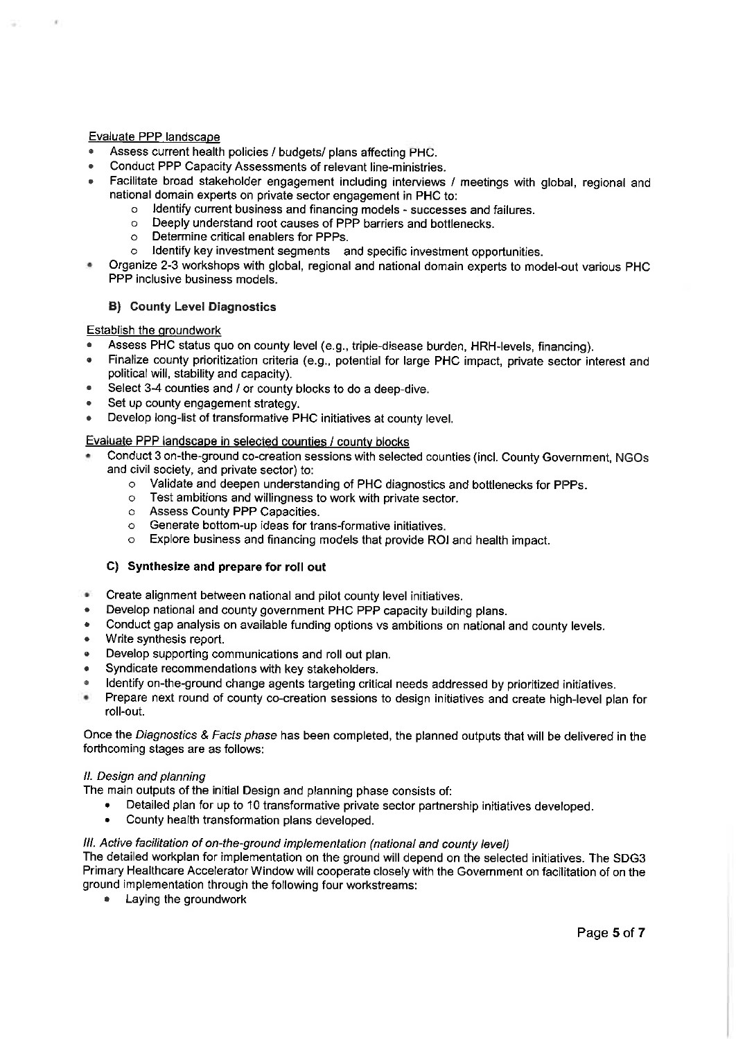# Evaluate PPP landscape

- Assess current health policies / budgets/ plans affecting PHC.
- Conduct PPP Capacity Assessments of relevant line-ministries.
- Facilitate broad stakeholder engagement including interviews / meetings with global, regional and national domain experts on private sector engagement in PHC to:
	- o Identify current business and financing models successes and failures.
		- o Deeply understand root causes of PPP barriers and bottlenecks.
		- $\circ$ Determine critical enablers for PPPs.
		- Identify key investment segments and specific investment opportunities.  $\sim$
- Organize 2-3 workshops with global, regional and national domain experts to model-out various PHC PPP inclusive business models.

# **B)** County Level Diagnostics

# Establish the groundwork

- Assess PHC status quo on county level (e.g., triple-disease burden, HRH-levels, financing).
- Finalize county prioritization criteria (e.g., potential for large PHC impact, private sector interest and political will, stability and capacity).
- Select 3-4 counties and / or county blocks to do a deep-dive.
- Set up county engagement strategy.
- Develop long-list of transformative PHC initiatives at county level.

# Evaluate PPP landscape in selected counties / county blocks

- Conduct 3 on-the-ground co-creation sessions with selected counties (incl. County Government, NGOs and civil society, and private sector) to:
	- o Validate and deepen understanding of PHC diagnostics and bottlenecks for PPPs.
	- o Test ambitions and willingness to work with private sector.
	- o Assess County PPP Capacities.
	- o Generate bottom-up ideas for trans-formative initiatives.
	- o Explore business and financing models that provide ROI and health impact.

# C) Synthesize and prepare for roll out

- Create alignment between national and pilot county level initiatives.  $\mathbf{a}^{\prime}$
- Develop national and county government PHC PPP capacity building plans.
- Conduct gap analysis on available funding options vs ambitions on national and county levels.
- Write synthesis report.
- Develop supporting communications and roll out plan.
- Syndicate recommendations with key stakeholders.
- Identify on-the-ground change agents targeting critical needs addressed by prioritized initiatives.
- $\blacksquare$ Prepare next round of county co-creation sessions to design initiatives and create high-level plan for roll-out.

Once the Diagnostics & Facts phase has been completed, the planned outputs that will be delivered in the forthcoming stages are as follows:

## II. Design and planning

The main outputs of the initial Design and planning phase consists of:

- $\bullet$ Detailed plan for up to 10 transformative private sector partnership initiatives developed.
- County health transformation plans developed.

# III. Active facilitation of on-the-ground implementation (national and county level)

The detailed workplan for implementation on the ground will depend on the selected initiatives. The SDG3 Primary Healthcare Accelerator Window will cooperate closely with the Government on facilitation of on the ground implementation through the following four workstreams:

Laying the groundwork  $\bullet$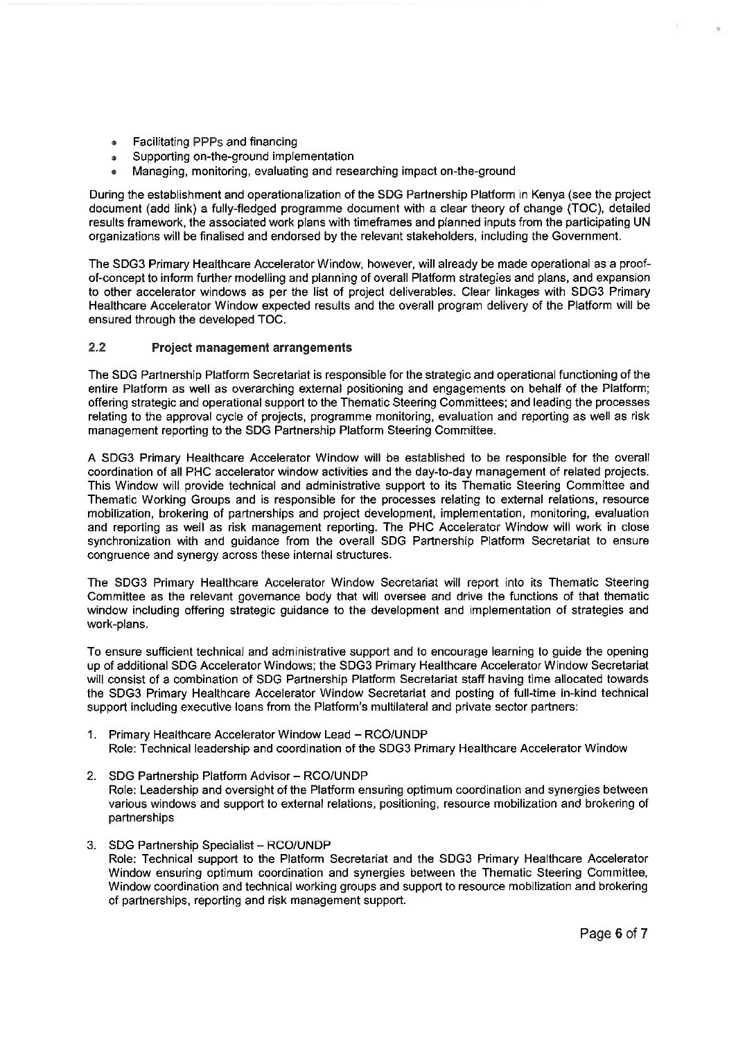- Facilitating PPPs and financing  $\bullet$
- Supporting on-the-ground implementation
- Managing, monitoring, evaluating and researching impact on-the-ground

During the establishment and operationalization of the SDG Partnership Platform in Kenya (see the project document (add link) a fully-fledged programme document with a clear theory of change (TOC), detailed results framework, the associated work plans with timeframes and planned inputs from the participating UN organizations will be finalised and endorsed by the relevant stakeholders, including the Government.

The SDG3 Primary Healthcare Accelerator Window, however, will already be made operational as a proofof-concept to inform further modelling and planning of overall Platform strategies and plans, and expansion to other accelerator windows as per the list of project deliverables. Clear linkages with SDG3 Primary Healthcare Accelerator Window expected results and the overall program delivery of the Platform will be ensured through the developed TOC.

#### $2.2$ **Project management arrangements**

The SDG Partnership Platform Secretariat is responsible for the strategic and operational functioning of the entire Platform as well as overarching external positioning and engagements on behalf of the Platform; offering strategic and operational support to the Thematic Steering Committees; and leading the processes relating to the approval cycle of projects, programme monitoring, evaluation and reporting as well as risk management reporting to the SDG Partnership Platform Steering Committee.

A SDG3 Primary Healthcare Accelerator Window will be established to be responsible for the overall coordination of all PHC accelerator window activities and the day-to-day management of related projects. This Window will provide technical and administrative support to its Thematic Steering Committee and Thematic Working Groups and is responsible for the processes relating to external relations, resource mobilization, brokering of partnerships and project development, implementation, monitoring, evaluation and reporting as well as risk management reporting. The PHC Accelerator Window will work in close synchronization with and quidance from the overall SDG Partnership Platform Secretariat to ensure congruence and synergy across these internal structures.

The SDG3 Primary Healthcare Accelerator Window Secretariat will report into its Thematic Steering Committee as the relevant governance body that will oversee and drive the functions of that thematic window including offering strategic guidance to the development and implementation of strategies and work-plans.

To ensure sufficient technical and administrative support and to encourage learning to quide the opening up of additional SDG Accelerator Windows: the SDG3 Primary Healthcare Accelerator Window Secretariat will consist of a combination of SDG Partnership Platform Secretariat staff having time allocated towards the SDG3 Primary Healthcare Accelerator Window Secretariat and posting of full-time in-kind technical support including executive loans from the Platform's multilateral and private sector partners:

- 1. Primary Healthcare Accelerator Window Lead RCO/UNDP Role: Technical leadership and coordination of the SDG3 Primary Healthcare Accelerator Window
- 2. SDG Partnership Platform Advisor RCO/UNDP Role: Leadership and oversight of the Platform ensuring optimum coordination and synergies between various windows and support to external relations, positioning, resource mobilization and brokering of partnerships
- 3. SDG Partnership Specialist RCO/UNDP Role: Technical support to the Platform Secretariat and the SDG3 Primary Healthcare Accelerator Window ensuring optimum coordination and synergies between the Thematic Steering Committee, Window coordination and technical working groups and support to resource mobilization and brokering of partnerships, reporting and risk management support.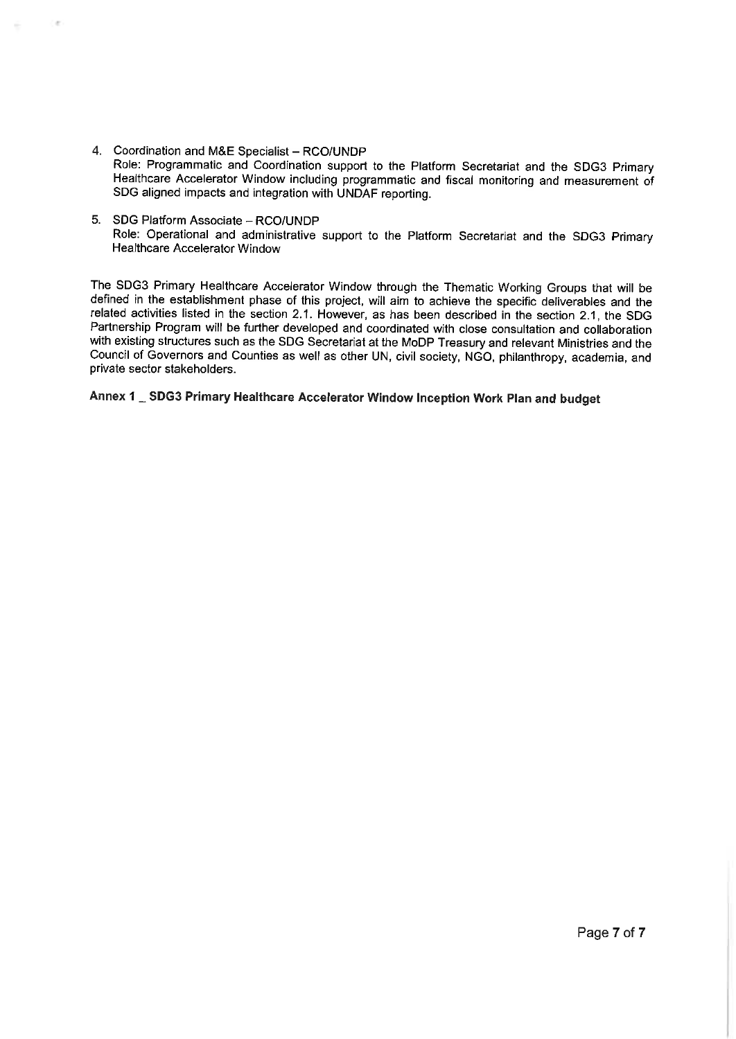- 4. Coordination and M&E Specialist RCO/UNDP Role: Programmatic and Coordination support to the Platform Secretariat and the SDG3 Primary Healthcare Accelerator Window including programmatic and fiscal monitoring and measurement of SDG aligned impacts and integration with UNDAF reporting.
- 5. SDG Platform Associate RCO/UNDP Role: Operational and administrative support to the Platform Secretariat and the SDG3 Primary **Healthcare Accelerator Window**

The SDG3 Primary Healthcare Accelerator Window through the Thematic Working Groups that will be defined in the establishment phase of this project, will aim to achieve the specific deliverables and the related activities listed in the section 2.1. However, as has been described in the section 2.1, the SDG Partnership Program will be further developed and coordinated with close consultation and collaboration with existing structures such as the SDG Secretariat at the MoDP Treasury and relevant Ministries and the Council of Governors and Counties as well as other UN, civil society, NGO, philanthropy, academia, and private sector stakeholders.

Annex 1 \_ SDG3 Primary Healthcare Accelerator Window Inception Work Plan and budget